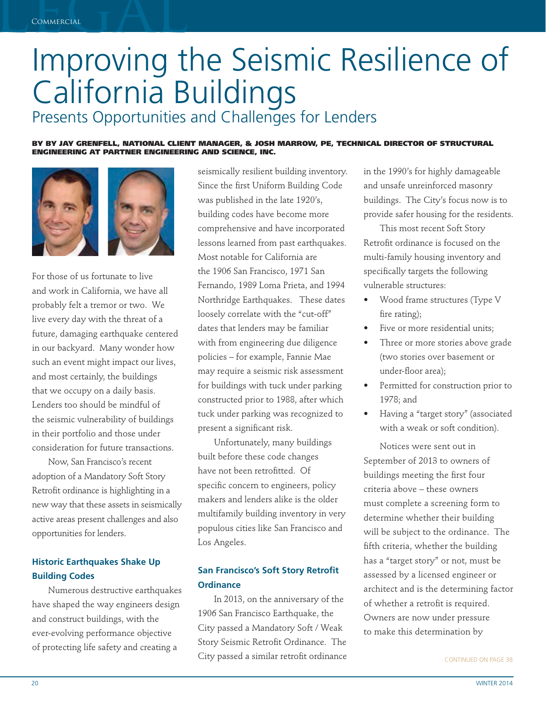# Improving t Improving the Seismic Resilience of California Buildings

## Presents Opportunities and Challenges for Lenders

**BY BY JAY GRENFELL, NATIONAL CLIENT MANAGER, & JOSH MARROW, PE, TECHNICAL DIRECTOR OF STRUCTURAL ENGINEERING AT PARTNER ENGINEERING AND SCIENCE, INC.**



For those of us fortunate to live and work in California, we have all probably felt a tremor or two. We live every day with the threat of a future, damaging earthquake centered in our backyard. Many wonder how such an event might impact our lives, and most certainly, the buildings that we occupy on a daily basis. Lenders too should be mindful of the seismic vulnerability of buildings in their portfolio and those under consideration for future transactions.

Now, San Francisco's recent adoption of a Mandatory Soft Story Retrofit ordinance is highlighting in a new way that these assets in seismically active areas present challenges and also opportunities for lenders.

#### **Historic Earthquakes Shake Up Building Codes**

Numerous destructive earthquakes have shaped the way engineers design and construct buildings, with the ever-evolving performance objective of protecting life safety and creating a

seismically resilient building inventory. Since the first Uniform Building Code was published in the late 1920's, building codes have become more comprehensive and have incorporated lessons learned from past earthquakes. Most notable for California are the 1906 San Francisco, 1971 San Fernando, 1989 Loma Prieta, and 1994 Northridge Earthquakes. These dates loosely correlate with the "cut-off" dates that lenders may be familiar with from engineering due diligence policies – for example, Fannie Mae may require a seismic risk assessment for buildings with tuck under parking constructed prior to 1988, after which tuck under parking was recognized to present a significant risk.

Unfortunately, many buildings built before these code changes have not been retrofitted. Of specific concern to engineers, policy makers and lenders alike is the older multifamily building inventory in very populous cities like San Francisco and Los Angeles.

#### **San Francisco's Soft Story Retrofit Ordinance**

In 2013, on the anniversary of the 1906 San Francisco Earthquake, the City passed a Mandatory Soft / Weak Story Seismic Retrofit Ordinance. The City passed a similar retrofit ordinance in the 1990's for highly damageable and unsafe unreinforced masonry buildings. The City's focus now is to provide safer housing for the residents.

This most recent Soft Story Retrofit ordinance is focused on the multi-family housing inventory and specifically targets the following vulnerable structures:

- Wood frame structures (Type V fire rating);
- Five or more residential units;
- Three or more stories above grade (two stories over basement or under-floor area);
- Permitted for construction prior to 1978; and
- Having a "target story" (associated with a weak or soft condition).

Notices were sent out in September of 2013 to owners of buildings meeting the first four criteria above – these owners must complete a screening form to determine whether their building will be subject to the ordinance. The fifth criteria, whether the building has a "target story" or not, must be assessed by a licensed engineer or architect and is the determining factor of whether a retrofit is required. Owners are now under pressure to make this determination by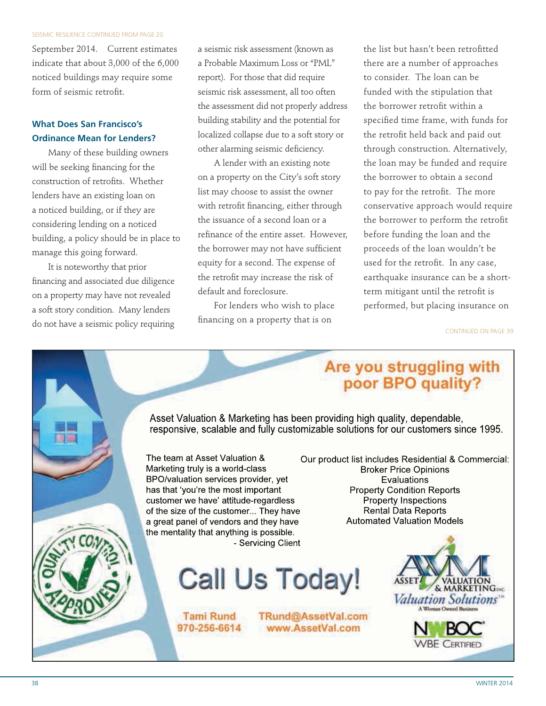#### SEISMIC RESILIENCE CONTINUED FROM PAGE 20

September 2014. Current estimates indicate that about 3,000 of the 6,000 noticed buildings may require some form of seismic retrofit.

#### **What Does San Francisco's Ordinance Mean for Lenders?**

Many of these building owners will be seeking financing for the construction of retrofits. Whether lenders have an existing loan on a noticed building, or if they are considering lending on a noticed building, a policy should be in place to manage this going forward.

It is noteworthy that prior financing and associated due diligence on a property may have not revealed a soft story condition. Many lenders do not have a seismic policy requiring a seismic risk assessment (known as a Probable Maximum Loss or "PML" report). For those that did require seismic risk assessment, all too often the assessment did not properly address building stability and the potential for localized collapse due to a soft story or other alarming seismic deficiency.

A lender with an existing note on a property on the City's soft story list may choose to assist the owner with retrofit financing, either through the issuance of a second loan or a refinance of the entire asset. However, the borrower may not have sufficient equity for a second. The expense of the retrofit may increase the risk of default and foreclosure.

For lenders who wish to place financing on a property that is on

the list but hasn't been retrofitted there are a number of approaches to consider. The loan can be funded with the stipulation that the borrower retrofit within a specified time frame, with funds for the retrofit held back and paid out through construction. Alternatively, the loan may be funded and require the borrower to obtain a second to pay for the retrofit. The more conservative approach would require the borrower to perform the retrofit before funding the loan and the proceeds of the loan wouldn't be used for the retrofit. In any case, earthquake insurance can be a shortterm mitigant until the retrofit is performed, but placing insurance on

CONTINUED ON PAGE 39

### Are you struggling with poor BPO quality?

Asset Valuation & Marketing has been providing high quality, dependable, responsive, scalable and fully customizable solutions for our customers since 1995.

The team at Asset Valuation & Our product list includes Residential & Commercial: Marketing truly is a world-class BPO/valuation services provider, yet has that 'you're the most important customer we have' attitude-regardless of the size of the customer... They have a great panel of vendors and they have the mentality that anything is possible. - Servicing Client

```
Call Us Today!
```
TRund@AssetVal.com

www.AssetVal.com

**Tami Rund** 970-256-6614

**Broker Price Opinions** Evaluations **Property Condition Reports Property Inspections Rental Data Reports Automated Valuation Models**